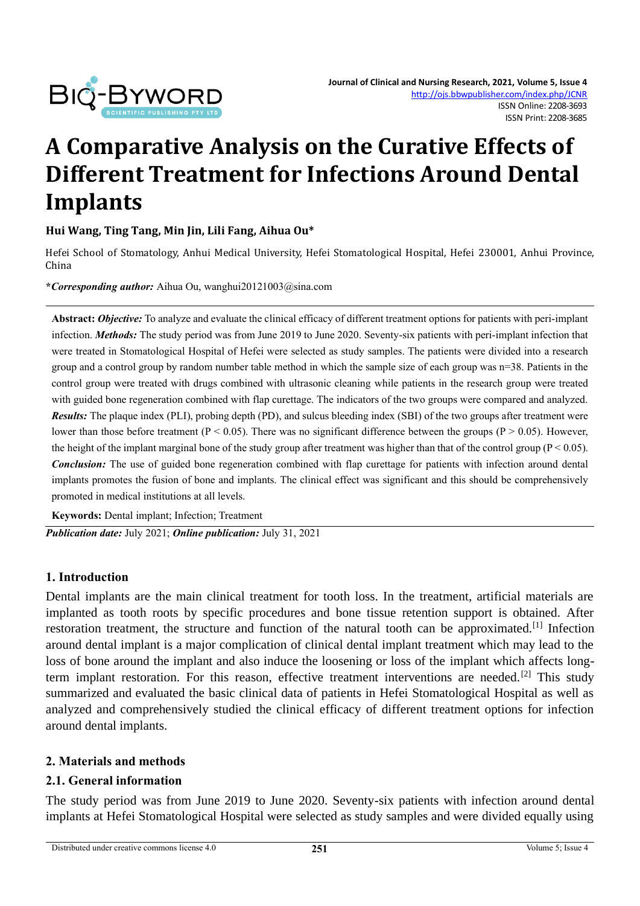

# **A Comparative Analysis on the Curative Effects of Different Treatment for Infections Around Dental Implants**

#### **Hui Wang, Ting Tang, Min Jin, Lili Fang, Aihua Ou\***

Hefei School of Stomatology, Anhui Medical University, Hefei Stomatological Hospital, Hefei 230001, Anhui Province, China

**\****Corresponding author:* Aihua Ou, wanghui20121003@sina.com

**Abstract:** *Objective:* To analyze and evaluate the clinical efficacy of different treatment options for patients with peri-implant infection. *Methods:* The study period was from June 2019 to June 2020. Seventy-six patients with peri-implant infection that were treated in Stomatological Hospital of Hefei were selected as study samples. The patients were divided into a research group and a control group by random number table method in which the sample size of each group was n=38. Patients in the control group were treated with drugs combined with ultrasonic cleaning while patients in the research group were treated with guided bone regeneration combined with flap curettage. The indicators of the two groups were compared and analyzed. *Results:* The plaque index (PLI), probing depth (PD), and sulcus bleeding index (SBI) of the two groups after treatment were lower than those before treatment ( $P < 0.05$ ). There was no significant difference between the groups ( $P > 0.05$ ). However, the height of the implant marginal bone of the study group after treatment was higher than that of the control group ( $P < 0.05$ ). *Conclusion:* The use of guided bone regeneration combined with flap curettage for patients with infection around dental implants promotes the fusion of bone and implants. The clinical effect was significant and this should be comprehensively promoted in medical institutions at all levels.

**Keywords:** Dental implant; Infection; Treatment

*Publication date:* July 2021; *Online publication:* July 31, 2021

#### **1. Introduction**

Dental implants are the main clinical treatment for tooth loss. In the treatment, artificial materials are implanted as tooth roots by specific procedures and bone tissue retention support is obtained. After restoration treatment, the structure and function of the natural tooth can be approximated.<sup>[1]</sup> Infection around dental implant is a major complication of clinical dental implant treatment which may lead to the loss of bone around the implant and also induce the loosening or loss of the implant which affects longterm implant restoration. For this reason, effective treatment interventions are needed.<sup>[2]</sup> This study summarized and evaluated the basic clinical data of patients in Hefei Stomatological Hospital as well as analyzed and comprehensively studied the clinical efficacy of different treatment options for infection around dental implants.

#### **2. Materials and methods**

#### **2.1. General information**

The study period was from June 2019 to June 2020. Seventy-six patients with infection around dental implants at Hefei Stomatological Hospital were selected as study samples and were divided equally using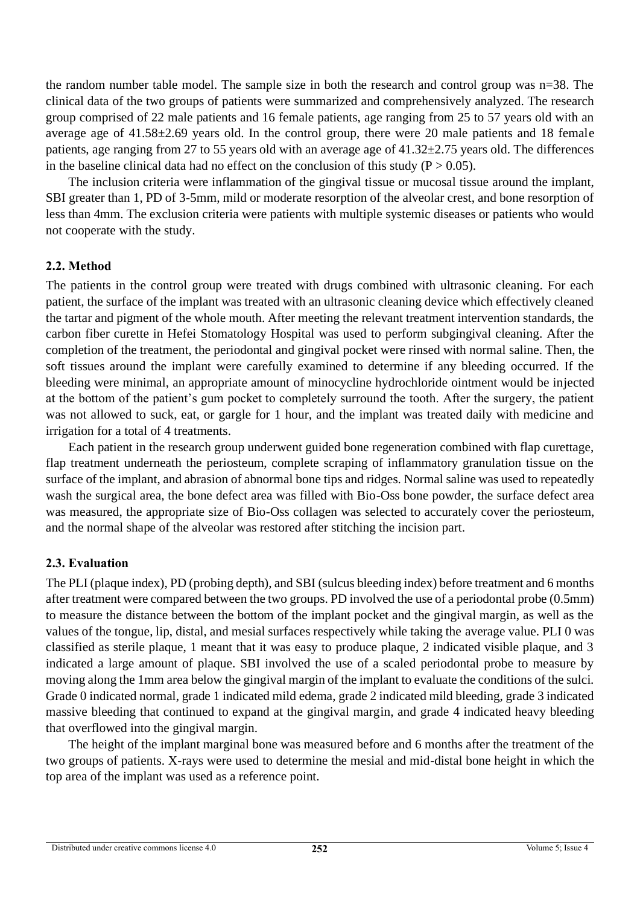the random number table model. The sample size in both the research and control group was n=38. The clinical data of the two groups of patients were summarized and comprehensively analyzed. The research group comprised of 22 male patients and 16 female patients, age ranging from 25 to 57 years old with an average age of 41.58±2.69 years old. In the control group, there were 20 male patients and 18 female patients, age ranging from 27 to 55 years old with an average age of 41.32±2.75 years old. The differences in the baseline clinical data had no effect on the conclusion of this study ( $P > 0.05$ ).

The inclusion criteria were inflammation of the gingival tissue or mucosal tissue around the implant, SBI greater than 1, PD of 3-5mm, mild or moderate resorption of the alveolar crest, and bone resorption of less than 4mm. The exclusion criteria were patients with multiple systemic diseases or patients who would not cooperate with the study.

## **2.2. Method**

The patients in the control group were treated with drugs combined with ultrasonic cleaning. For each patient, the surface of the implant was treated with an ultrasonic cleaning device which effectively cleaned the tartar and pigment of the whole mouth. After meeting the relevant treatment intervention standards, the carbon fiber curette in Hefei Stomatology Hospital was used to perform subgingival cleaning. After the completion of the treatment, the periodontal and gingival pocket were rinsed with normal saline. Then, the soft tissues around the implant were carefully examined to determine if any bleeding occurred. If the bleeding were minimal, an appropriate amount of minocycline hydrochloride ointment would be injected at the bottom of the patient's gum pocket to completely surround the tooth. After the surgery, the patient was not allowed to suck, eat, or gargle for 1 hour, and the implant was treated daily with medicine and irrigation for a total of 4 treatments.

Each patient in the research group underwent guided bone regeneration combined with flap curettage, flap treatment underneath the periosteum, complete scraping of inflammatory granulation tissue on the surface of the implant, and abrasion of abnormal bone tips and ridges. Normal saline was used to repeatedly wash the surgical area, the bone defect area was filled with Bio-Oss bone powder, the surface defect area was measured, the appropriate size of Bio-Oss collagen was selected to accurately cover the periosteum, and the normal shape of the alveolar was restored after stitching the incision part.

#### **2.3. Evaluation**

The PLI (plaque index), PD (probing depth), and SBI (sulcus bleeding index) before treatment and 6 months after treatment were compared between the two groups. PD involved the use of a periodontal probe (0.5mm) to measure the distance between the bottom of the implant pocket and the gingival margin, as well as the values of the tongue, lip, distal, and mesial surfaces respectively while taking the average value. PLI 0 was classified as sterile plaque, 1 meant that it was easy to produce plaque, 2 indicated visible plaque, and 3 indicated a large amount of plaque. SBI involved the use of a scaled periodontal probe to measure by moving along the 1mm area below the gingival margin of the implant to evaluate the conditions of the sulci. Grade 0 indicated normal, grade 1 indicated mild edema, grade 2 indicated mild bleeding, grade 3 indicated massive bleeding that continued to expand at the gingival margin, and grade 4 indicated heavy bleeding that overflowed into the gingival margin.

The height of the implant marginal bone was measured before and 6 months after the treatment of the two groups of patients. X-rays were used to determine the mesial and mid-distal bone height in which the top area of the implant was used as a reference point.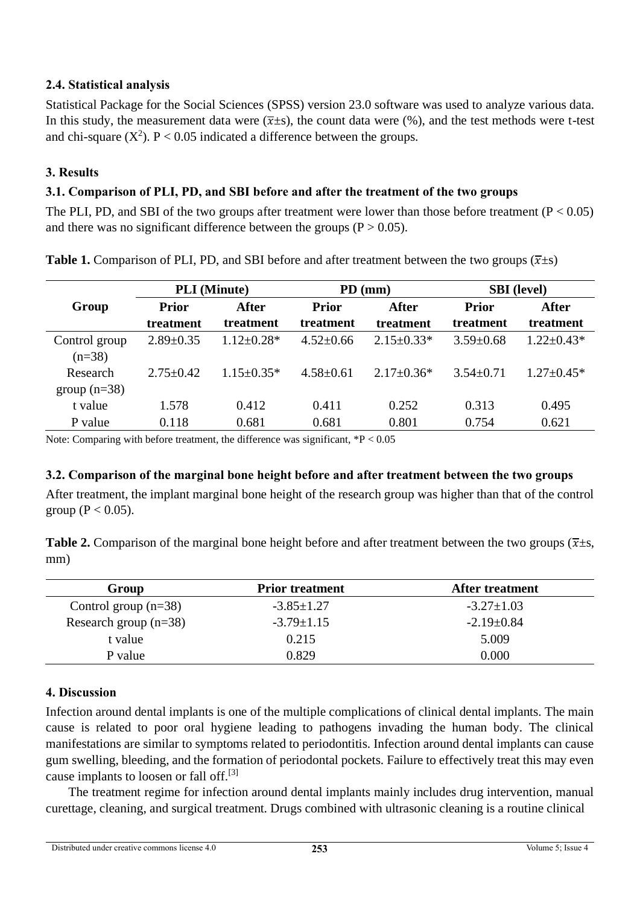## **2.4. Statistical analysis**

Statistical Package for the Social Sciences (SPSS) version 23.0 software was used to analyze various data. In this study, the measurement data were  $(\overline{x} \pm s)$ , the count data were (%), and the test methods were t-test and chi-square ( $X^2$ ). P < 0.05 indicated a difference between the groups.

## **3. Results**

## **3.1. Comparison of PLI, PD, and SBI before and after the treatment of the two groups**

The PLI, PD, and SBI of the two groups after treatment were lower than those before treatment  $(P < 0.05)$ and there was no significant difference between the groups ( $P > 0.05$ ).

|                            | <b>PLI</b> (Minute) |                  | $PD$ (mm)       |                  | <b>SBI</b> (level) |                  |
|----------------------------|---------------------|------------------|-----------------|------------------|--------------------|------------------|
| Group                      | <b>Prior</b>        | After            | <b>Prior</b>    | After            | <b>Prior</b>       | After            |
|                            | treatment           | treatment        | treatment       | treatment        | treatment          | treatment        |
| Control group<br>$(n=38)$  | $2.89 \pm 0.35$     | $1.12 \pm 0.28*$ | $4.52 \pm 0.66$ | $2.15 \pm 0.33*$ | $3.59 \pm 0.68$    | $1.22 \pm 0.43*$ |
| Research<br>group $(n=38)$ | $2.75 + 0.42$       | $1.15 + 0.35*$   | $4.58 \pm 0.61$ | $2.17 \pm 0.36*$ | $3.54 + 0.71$      | $1.27 \pm 0.45*$ |
| t value                    | 1.578               | 0.412            | 0.411           | 0.252            | 0.313              | 0.495            |
| P value                    | 0.118               | 0.681            | 0.681           | 0.801            | 0.754              | 0.621            |

**Table 1.** Comparison of PLI, PD, and SBI before and after treatment between the two groups  $(\bar{x} \pm s)$ 

Note: Comparing with before treatment, the difference was significant, \*P < 0.05

#### **3.2. Comparison of the marginal bone height before and after treatment between the two groups**

After treatment, the implant marginal bone height of the research group was higher than that of the control group ( $P < 0.05$ ).

**Table 2.** Comparison of the marginal bone height before and after treatment between the two groups ( $\overline{x} \pm s$ , mm)

| Group                   | <b>Prior treatment</b> | <b>After treatment</b> |  |
|-------------------------|------------------------|------------------------|--|
| Control group $(n=38)$  | $-3.85 \pm 1.27$       | $-3.27 \pm 1.03$       |  |
| Research group $(n=38)$ | $-3.79 \pm 1.15$       | $-2.19 \pm 0.84$       |  |
| t value                 | 0.215                  | 5.009                  |  |
| P value                 | 0.829                  | 0.000                  |  |

#### **4. Discussion**

Infection around dental implants is one of the multiple complications of clinical dental implants. The main cause is related to poor oral hygiene leading to pathogens invading the human body. The clinical manifestations are similar to symptoms related to periodontitis. Infection around dental implants can cause gum swelling, bleeding, and the formation of periodontal pockets. Failure to effectively treat this may even cause implants to loosen or fall off.[3]

The treatment regime for infection around dental implants mainly includes drug intervention, manual curettage, cleaning, and surgical treatment. Drugs combined with ultrasonic cleaning is a routine clinical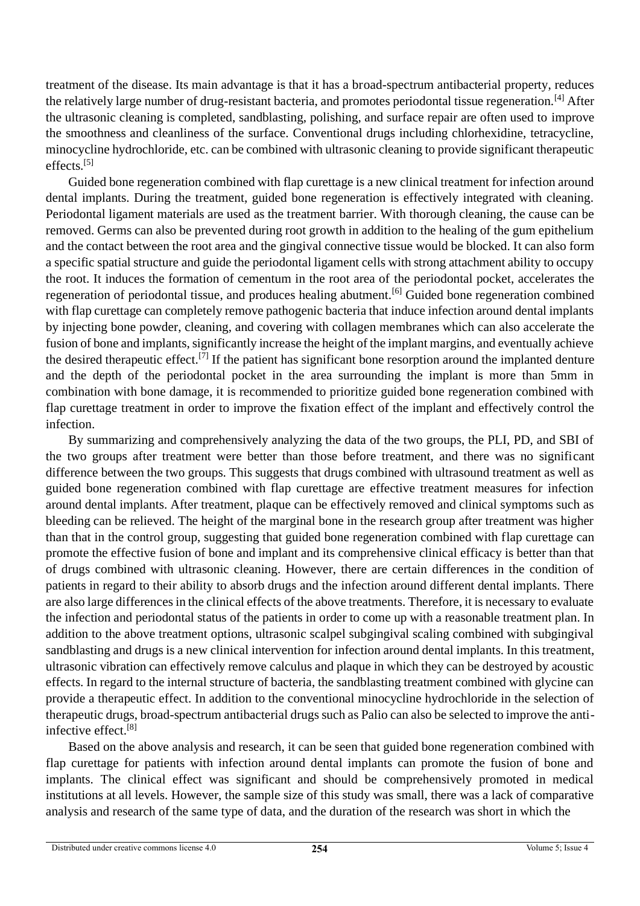treatment of the disease. Its main advantage is that it has a broad-spectrum antibacterial property, reduces the relatively large number of drug-resistant bacteria, and promotes periodontal tissue regeneration.[4] After the ultrasonic cleaning is completed, sandblasting, polishing, and surface repair are often used to improve the smoothness and cleanliness of the surface. Conventional drugs including chlorhexidine, tetracycline, minocycline hydrochloride, etc. can be combined with ultrasonic cleaning to provide significant therapeutic effects.[5]

Guided bone regeneration combined with flap curettage is a new clinical treatment for infection around dental implants. During the treatment, guided bone regeneration is effectively integrated with cleaning. Periodontal ligament materials are used as the treatment barrier. With thorough cleaning, the cause can be removed. Germs can also be prevented during root growth in addition to the healing of the gum epithelium and the contact between the root area and the gingival connective tissue would be blocked. It can also form a specific spatial structure and guide the periodontal ligament cells with strong attachment ability to occupy the root. It induces the formation of cementum in the root area of the periodontal pocket, accelerates the regeneration of periodontal tissue, and produces healing abutment.[6] Guided bone regeneration combined with flap curettage can completely remove pathogenic bacteria that induce infection around dental implants by injecting bone powder, cleaning, and covering with collagen membranes which can also accelerate the fusion of bone and implants, significantly increase the height of the implant margins, and eventually achieve the desired therapeutic effect.<sup>[7]</sup> If the patient has significant bone resorption around the implanted denture and the depth of the periodontal pocket in the area surrounding the implant is more than 5mm in combination with bone damage, it is recommended to prioritize guided bone regeneration combined with flap curettage treatment in order to improve the fixation effect of the implant and effectively control the infection.

By summarizing and comprehensively analyzing the data of the two groups, the PLI, PD, and SBI of the two groups after treatment were better than those before treatment, and there was no significant difference between the two groups. This suggests that drugs combined with ultrasound treatment as well as guided bone regeneration combined with flap curettage are effective treatment measures for infection around dental implants. After treatment, plaque can be effectively removed and clinical symptoms such as bleeding can be relieved. The height of the marginal bone in the research group after treatment was higher than that in the control group, suggesting that guided bone regeneration combined with flap curettage can promote the effective fusion of bone and implant and its comprehensive clinical efficacy is better than that of drugs combined with ultrasonic cleaning. However, there are certain differences in the condition of patients in regard to their ability to absorb drugs and the infection around different dental implants. There are also large differences in the clinical effects of the above treatments. Therefore, it is necessary to evaluate the infection and periodontal status of the patients in order to come up with a reasonable treatment plan. In addition to the above treatment options, ultrasonic scalpel subgingival scaling combined with subgingival sandblasting and drugs is a new clinical intervention for infection around dental implants. In this treatment, ultrasonic vibration can effectively remove calculus and plaque in which they can be destroyed by acoustic effects. In regard to the internal structure of bacteria, the sandblasting treatment combined with glycine can provide a therapeutic effect. In addition to the conventional minocycline hydrochloride in the selection of therapeutic drugs, broad-spectrum antibacterial drugs such as Palio can also be selected to improve the antiinfective effect.[8]

Based on the above analysis and research, it can be seen that guided bone regeneration combined with flap curettage for patients with infection around dental implants can promote the fusion of bone and implants. The clinical effect was significant and should be comprehensively promoted in medical institutions at all levels. However, the sample size of this study was small, there was a lack of comparative analysis and research of the same type of data, and the duration of the research was short in which the